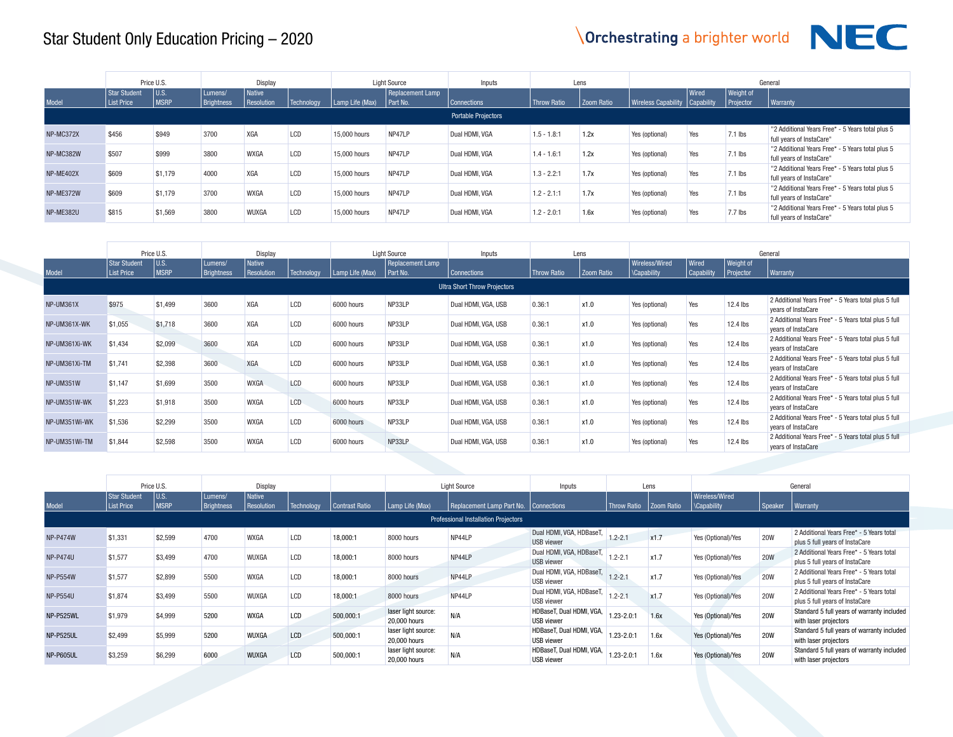

|           |                            | Price U.S.          |                       | Display                            |            |                 | <b>Light Source</b>          | Inputs                     |               | Lens       |                                  |       |                                      | General                                                                      |
|-----------|----------------------------|---------------------|-----------------------|------------------------------------|------------|-----------------|------------------------------|----------------------------|---------------|------------|----------------------------------|-------|--------------------------------------|------------------------------------------------------------------------------|
| Model     | Star Student<br>List Price | U.S.<br><b>MSRP</b> | Lumens/<br>Brightness | <b>Native</b><br><b>Resolution</b> | Technology | Lamp Life (Max) | Replacement Lamp<br>Part No. | Connections                | Throw Ratio   | Zoom Ratio | Wireless Capability   Capability | Wired | <b>Weight of</b><br><b>Projector</b> | Warranty                                                                     |
|           |                            |                     |                       |                                    |            |                 |                              | <b>Portable Projectors</b> |               |            |                                  |       |                                      |                                                                              |
| NP-MC372X | \$456                      | \$949               | 3700                  | <b>XGA</b>                         | LCD        | 15,000 hours    | NP47LP                       | Dual HDMI, VGA             | $1.5 - 1.8:1$ | 1.2x       | Yes (optional)                   | Yes   | $7.1$ lbs                            | "2 Additional Years Free* - 5 Years total plus 5<br>full years of InstaCare" |
| NP-MC382W | \$507                      | \$999               | 3800                  | <b>WXGA</b>                        | LCD        | 15,000 hours    | NP47LP                       | Dual HDMI, VGA             | $1.4 - 1.6:1$ | 1.2x       | Yes (optional)                   | Yes   | $7.1$ lbs                            | "2 Additional Years Free* - 5 Years total plus 5<br>full years of InstaCare" |
| NP-ME402X | \$609                      | \$1.179             | 4000                  | XGA                                | LCD        | 15,000 hours    | NP47LP                       | Dual HDMI, VGA             | $1.3 - 2.2:1$ | 1.7x       | Yes (optional)                   | Yes   | $7.1$ lbs                            | "2 Additional Years Free* - 5 Years total plus 5<br>full years of InstaCare" |
| NP-ME372W | \$609                      | \$1.179             | 3700                  | <b>WXGA</b>                        | LCD        | 15,000 hours    | NP47LP                       | Dual HDMI, VGA             | $1.2 - 2.1:1$ | 1.7x       | Yes (optional)                   | Yes   | $7.1$ lbs                            | "2 Additional Years Free* - 5 Years total plus 5<br>full years of InstaCare" |
| NP-ME382U | \$815                      | \$1,569             | 3800                  | WUXGA                              | LCD        | 15,000 hours    | NP47LP                       | Dual HDMI, VGA             | $1.2 - 2.0:1$ | 1.6x       | Yes (optional)                   | Yes   | $7.7$ lbs                            | "2 Additional Years Free* - 5 Years total plus 5<br>full years of InstaCare" |

|               |                                          | Price U.S.           |                       | Display                     |            |                 | <b>Light Source</b>                   | Inputs                              |                    | Lens       |                                 |                   |                               | General                                                                    |
|---------------|------------------------------------------|----------------------|-----------------------|-----------------------------|------------|-----------------|---------------------------------------|-------------------------------------|--------------------|------------|---------------------------------|-------------------|-------------------------------|----------------------------------------------------------------------------|
| Model         | <b>Star Student</b><br><b>List Price</b> | lu.s.<br><b>MSRP</b> | Lumens/<br>Brightness | <b>Native</b><br>Resolution | Technology | Lamp Life (Max) | <b>Replacement Lamp</b><br>l Part No. | <b>Connections</b>                  | <b>Throw Ratio</b> | Zoom Ratio | Wireless/Wired<br>  \Capability | Wired             | <b>Weight of</b><br>Projector | Warranty                                                                   |
|               |                                          |                      |                       |                             |            |                 |                                       | <b>Ultra Short Throw Projectors</b> |                    |            |                                 | <b>Capability</b> |                               |                                                                            |
|               |                                          |                      |                       |                             |            |                 |                                       |                                     |                    |            |                                 |                   |                               |                                                                            |
| NP-UM361X     | \$975                                    | \$1,499              | 3600                  | <b>XGA</b>                  | LCD        | 6000 hours      | NP33LP                                | Dual HDMI, VGA, USB                 | 0.36:1             | x1.0       | Yes (optional)                  | Yes               | $12.4$ lbs                    | 2 Additional Years Free* - 5 Years total plus 5 full<br>years of InstaCare |
| NP-UM361X-WK  | \$1,055                                  | \$1,718              | 3600                  | <b>XGA</b>                  | LCD        | 6000 hours      | NP33LP                                | Dual HDMI, VGA, USB                 | 0.36:1             | x1.0       | Yes (optional)                  | Yes               | $12.4$ lbs                    | 2 Additional Years Free* - 5 Years total plus 5 full<br>years of InstaCare |
| NP-UM361Xi-WK | \$1,434                                  | \$2,099              | 3600                  | <b>XGA</b>                  | LCD        | 6000 hours      | NP33LP                                | Dual HDMI, VGA, USB                 | 0.36:1             | x1.0       | Yes (optional)                  | Yes               | 12.4 lbs                      | 2 Additional Years Free* - 5 Years total plus 5 full<br>vears of InstaCare |
| NP-UM361Xi-TM | \$1.741                                  | \$2,398              | 3600                  | <b>XGA</b>                  | LCD        | 6000 hours      | NP33LP                                | Dual HDMI, VGA, USB                 | 0.36:1             | x1.0       | Yes (optional)                  | Yes               | $12.4$ lbs                    | 2 Additional Years Free* - 5 Years total plus 5 full<br>years of InstaCare |
| NP-UM351W     | \$1,147                                  | \$1,699              | 3500                  | <b>WXGA</b>                 | LCD        | 6000 hours      | NP33LP                                | Dual HDMI, VGA, USB                 | 0.36:1             | x1.0       | Yes (optional)                  | Yes               | $12.4$ lbs                    | 2 Additional Years Free* - 5 Years total plus 5 full<br>years of InstaCare |
| NP-UM351W-WK  | \$1,223                                  | \$1,918              | 3500                  | <b>WXGA</b>                 | LCD        | 6000 hours      | NP33LP                                | Dual HDMI, VGA, USB                 | 0.36:1             | x1.0       | Yes (optional)                  | Yes               | $12.4$ lbs                    | 2 Additional Years Free* - 5 Years total plus 5 full<br>vears of InstaCare |
| NP-UM351Wi-WK | \$1,536                                  | \$2,299              | 3500                  | <b>WXGA</b>                 | LCD        | 6000 hours      | NP33LP                                | Dual HDMI, VGA, USB                 | 0.36:1             | x1.0       | Yes (optional)                  | Yes               | $12.4$ lbs                    | 2 Additional Years Free* - 5 Years total plus 5 full<br>years of InstaCare |
| NP-UM351Wi-TM | \$1,844                                  | \$2,598              | 3500                  | <b>WXGA</b>                 | LCD        | 6000 hours      | NP33LP                                | Dual HDMI, VGA, USB                 | 0.36:1             | x1.0       | Yes (optional)                  | Yes               | $12.4$ lbs                    | 2 Additional Years Free* - 5 Years total plus 5 full<br>years of InstaCare |

|                 |                                   | Price U.S.           |                       | Display              |            |                |                                     | <b>Light Source</b>                         | Inputs                                        |                | Lens       |                                     |            | General                                                                    |
|-----------------|-----------------------------------|----------------------|-----------------------|----------------------|------------|----------------|-------------------------------------|---------------------------------------------|-----------------------------------------------|----------------|------------|-------------------------------------|------------|----------------------------------------------------------------------------|
| Model           | Star Student<br><b>List Price</b> | lu.s.<br><b>MSRP</b> | Lumens/<br>Brightness | Native<br>Resolution | Technology | Contrast Ratio | Lamp Life (Max)                     | Replacement Lamp Part No.                   | Connections                                   | Throw Ratio    | Zoom Ratio | Wireless/Wired<br><b>Capability</b> | Speaker    | <b>Warranty</b>                                                            |
|                 |                                   |                      |                       |                      |            |                |                                     | <b>Professional Installation Projectors</b> |                                               |                |            |                                     |            |                                                                            |
| <b>NP-P474W</b> | \$1,331                           | \$2,599              | 4700                  | <b>WXGA</b>          | LCD        | 18.000:1       | 8000 hours                          | NP44LP                                      | Dual HDMI, VGA, HDBaseT,<br><b>USB</b> viewer | $1.2 - 2.1$    | x1.7       | Yes (Optional)/Yes                  | <b>20W</b> | 2 Additional Years Free* - 5 Years total<br>plus 5 full years of InstaCare |
| <b>NP-P474U</b> | \$1,577                           | \$3.499              | 4700                  | WUXGA                | LCD        | 18.000:1       | 8000 hours                          | NP44LP                                      | Dual HDMI, VGA, HDBaseT,<br><b>USB</b> viewer | $1.2 - 2.1$    | x1.7       | Yes (Optional)/Yes                  | <b>20W</b> | 2 Additional Years Free* - 5 Years total<br>plus 5 full years of InstaCare |
| <b>NP-P554W</b> | \$1,577                           | \$2,899              | 5500                  | <b>WXGA</b>          | LCD        | 18,000:1       | 8000 hours                          | NP44LP                                      | Dual HDMI, VGA, HDBaseT,<br><b>USB</b> viewer | $1.2 - 2.1$    | x1.7       | Yes (Optional)/Yes                  | <b>20W</b> | 2 Additional Years Free* - 5 Years total<br>plus 5 full years of InstaCare |
| <b>NP-P554U</b> | \$1,874                           | \$3.499              | 5500                  | WUXGA                | LCD        | 18.000:1       | 8000 hours                          | NP44LP                                      | Dual HDMI, VGA, HDBaseT,<br>USB viewer        | $1.2 - 2.1$    | x1.7       | Yes (Optional)/Yes                  | <b>20W</b> | 2 Additional Years Free* - 5 Years total<br>plus 5 full years of InstaCare |
| NP-P525WL       | \$1,979                           | \$4,999              | 5200                  | <b>WXGA</b>          | LCD        | 500,000:1      | laser light source:<br>20,000 hours | N/A                                         | HDBaseT, Dual HDMI, VGA,<br>USB viewer        | $1.23 - 2.0:1$ | 1.6x       | Yes (Optional)/Yes                  | <b>20W</b> | Standard 5 full years of warranty included<br>with laser projectors        |
| NP-P525UL       | \$2,499                           | \$5,999              | 5200                  | WUXGA                | <b>LCD</b> | 500,000:1      | laser light source:<br>20,000 hours | N/A                                         | HDBaseT, Dual HDMI, VGA,<br>USB viewer        | $1.23 - 2.0:1$ | 1.6x       | Yes (Optional)/Yes                  | <b>20W</b> | Standard 5 full years of warranty included<br>with laser projectors        |
| NP-P605UL       | \$3,259                           | \$6,299              | 6000                  | WUXGA                | LCD        | 500,000:1      | laser light source:<br>20,000 hours | N/A                                         | HDBaseT, Dual HDMI, VGA,<br>USB viewer        | $1.23 - 2.01$  | 1.6x       | Yes (Optional)/Yes                  | <b>20W</b> | Standard 5 full years of warranty included<br>with laser projectors        |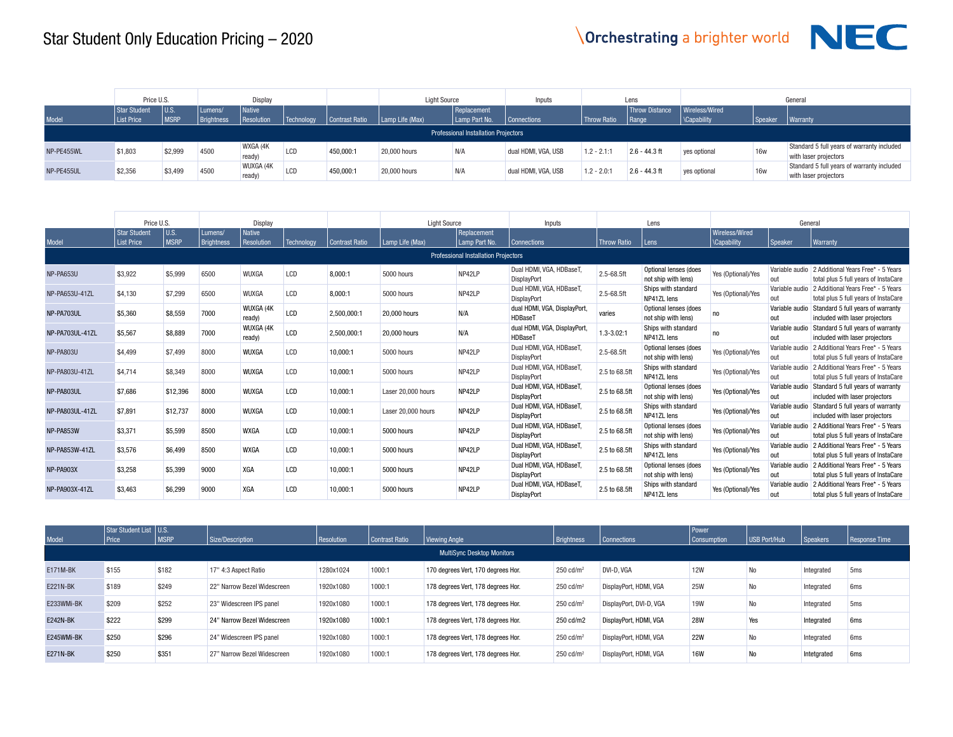

|            | Price U.S.                 |                       |                       | Display                     |            |                | <b>Light Source</b>     |                                             | Inputs              |                    | Lens                           |                                 |            | General                                                             |
|------------|----------------------------|-----------------------|-----------------------|-----------------------------|------------|----------------|-------------------------|---------------------------------------------|---------------------|--------------------|--------------------------------|---------------------------------|------------|---------------------------------------------------------------------|
| Model      | Star Student<br>List Price | l U.S.<br><b>MSRP</b> | Lumens/<br>Brightness | <b>Native</b><br>Resolution | Technology | Contrast Ratio | $\vert$ Lamp Life (Max) | Replacement<br>Lamp Part No.                | <b>Connections</b>  | <b>Throw Ratio</b> | <b>Throw Distance</b><br>Range | Wireless/Wired<br>  \Capability | Speaker    | <b>Warranty</b>                                                     |
|            |                            |                       |                       |                             |            |                |                         | <b>Professional Installation Projectors</b> |                     |                    |                                |                                 |            |                                                                     |
| NP-PE455WL | \$1,803                    | \$2,999               | 4500                  | WXGA (4K<br>ready)          | LCD        | 450,000:1      | 20,000 hours            | N/A                                         | dual HDMI, VGA, USB | $1.2 - 2.1:1$      | $2.6 - 44.3$ ft                | ves optional                    | <b>16w</b> | Standard 5 full years of warranty included<br>with laser projectors |
| NP-PE455UL | \$2,356                    | \$3,499               | 4500                  | WUXGA (4K<br>ready)         | LCD        | 450.000:1      | 20,000 hours            | N/A                                         | dual HDMI, VGA, USB | $1.2 - 2.0:1$      | $2.6 - 44.3$ ft                | yes optional                    | <b>16w</b> | Standard 5 full years of warranty included<br>with laser projectors |

|                 | Price U.S.                               |                       |                              | Display                     |            |                | <b>Light Source</b> |                                             | Inputs                                         |                    | Lens                                         |                                      | General               |                                                                            |
|-----------------|------------------------------------------|-----------------------|------------------------------|-----------------------------|------------|----------------|---------------------|---------------------------------------------|------------------------------------------------|--------------------|----------------------------------------------|--------------------------------------|-----------------------|----------------------------------------------------------------------------|
| Model           | <b>Star Student</b><br><b>List Price</b> | l u.s.<br><b>MSRP</b> | Lumens/<br><b>Brightness</b> | <b>Native</b><br>Resolution | Technology | Contrast Ratio | Lamp Life (Max)     | Replacement<br>Lamp Part No.                | <b>Connections</b>                             | <b>Throw Ratio</b> | l Lens                                       | Wireless/Wired<br><b>\Capability</b> | Speaker               | <b>Warranty</b>                                                            |
|                 |                                          |                       |                              |                             |            |                |                     | <b>Professional Installation Projectors</b> |                                                |                    |                                              |                                      |                       |                                                                            |
| NP-PA653U       | \$3,922                                  | \$5,999               | 6500                         | <b>WUXGA</b>                | LCD        | 8,000:1        | 5000 hours          | NP42LP                                      | Dual HDMI, VGA, HDBaseT,<br>DisplayPort        | 2.5-68.5ft         | Optional lenses (does<br>not ship with lens) | Yes (Optional)/Yes                   | Variable audio<br>out | 2 Additional Years Free* - 5 Years<br>total plus 5 full years of InstaCare |
| NP-PA653U-41ZL  | \$4.130                                  | \$7,299               | 6500                         | WUXGA                       | LCD        | 8.000:1        | 5000 hours          | NP42LP                                      | Dual HDMI, VGA, HDBaseT,<br><b>DisplayPort</b> | 2.5-68.5ft         | Ships with standard<br>NP41ZL lens           | Yes (Optional)/Yes                   | Variable audio<br>out | 2 Additional Years Free* - 5 Years<br>total plus 5 full years of InstaCare |
| NP-PA703UL      | \$5,360                                  | \$8,559               | 7000                         | WUXGA (4K<br>ready)         | LCD        | 2,500,000:1    | 20,000 hours        | N/A                                         | dual HDMI, VGA, DisplayPort,<br>HDBaseT        | varies             | Optional lenses (does<br>not ship with lens) | no                                   | Variable audio<br>out | Standard 5 full years of warranty<br>included with laser projectors        |
| NP-PA703UL-41ZL | \$5,567                                  | \$8,889               | 7000                         | WUXGA (4K<br>ready)         | LCD        | 2,500,000:1    | 20,000 hours        | N/A                                         | dual HDMI, VGA, DisplayPort<br>HDBaseT         | $1.3 - 3.02:1$     | Ships with standard<br>NP41ZL lens           | no                                   | Variable audio<br>out | Standard 5 full years of warranty<br>included with laser projectors        |
| NP-PA803U       | \$4,499                                  | \$7,499               | 8000                         | <b>WUXGA</b>                | LCD        | 10.000:1       | 5000 hours          | NP42LP                                      | Dual HDMI, VGA, HDBaseT,<br>DisplayPort        | 2.5-68.5ft         | Optional lenses (does<br>not ship with lens) | Yes (Optional)/Yes                   | Variable audio<br>out | 2 Additional Years Free* - 5 Years<br>total plus 5 full years of InstaCare |
| NP-PA803U-41ZL  | \$4.714                                  | \$8,349               | 8000                         | WUXGA                       | LCD        | 10.000:1       | 5000 hours          | NP42LP                                      | Dual HDMI, VGA, HDBaseT,<br><b>DisplayPort</b> | 2.5 to 68.5ft      | Ships with standard<br>NP41ZL lens           | Yes (Optional)/Yes                   | Variable audio<br>out | 2 Additional Years Free* - 5 Years<br>total plus 5 full years of InstaCare |
| NP-PA803UL      | \$7.686                                  | \$12,396              | 8000                         | WUXGA                       | LCD        | 10.000:1       | Laser 20,000 hours  | NP42LP                                      | Dual HDMI, VGA, HDBaseT,<br>DisplayPort        | 2.5 to 68.5ft      | Optional lenses (does<br>not ship with lens) | Yes (Optional)/Yes                   | Variable audio<br>out | Standard 5 full years of warranty<br>included with laser projectors        |
| NP-PA803UL-41ZL | \$7.891                                  | \$12,737              | 8000                         | WUXGA                       | LCD        | 10,000:1       | Laser 20,000 hours  | NP42LP                                      | Dual HDMI, VGA, HDBaseT,<br><b>DisplayPort</b> | 2.5 to 68.5ft      | Ships with standard<br>NP41ZL lens           | Yes (Optional)/Yes                   | Variable audio<br>out | Standard 5 full years of warranty<br>included with laser projectors        |
| NP-PA853W       | \$3.371                                  | \$5.599               | 8500                         | <b>WXGA</b>                 | LCD        | 10.000:1       | 5000 hours          | NP42LP                                      | Dual HDMI, VGA, HDBaseT,<br><b>DisplayPort</b> | 2.5 to 68.5ft      | Optional lenses (does<br>not ship with lens) | Yes (Optional)/Yes                   | Variable audio<br>out | 2 Additional Years Free* - 5 Years<br>total plus 5 full vears of InstaCare |
| NP-PA853W-41ZL  | \$3,576                                  | \$6.499               | 8500                         | <b>WXGA</b>                 | LCD        | 10,000:1       | 5000 hours          | NP42LP                                      | Dual HDMI, VGA, HDBaseT,<br><b>DisplayPort</b> | 2.5 to 68.5ft      | Ships with standard<br>NP41ZL lens           | Yes (Optional)/Yes                   | Variable audio<br>out | 2 Additional Years Free* - 5 Years<br>total plus 5 full years of InstaCare |
| NP-PA903X       | \$3.258                                  | \$5,399               | 9000                         | <b>XGA</b>                  | LCD        | 10,000:1       | 5000 hours          | NP42LP                                      | Dual HDMI, VGA, HDBaseT<br><b>DisplayPort</b>  | 2.5 to 68.5ft      | Optional lenses (does<br>not ship with lens) | Yes (Optional)/Yes                   | Variable audio<br>out | 2 Additional Years Free* - 5 Years<br>total plus 5 full years of InstaCare |
| NP-PA903X-41ZL  | \$3.463                                  | \$6.299               | 9000                         | XGA                         | LCD        | 10.000:1       | 5000 hours          | NP42LP                                      | Dual HDMI, VGA, HDBaseT<br><b>DisplayPort</b>  | 2.5 to 68.5ft      | Ships with standard<br>NP41ZL lens           | Yes (Optional)/Yes                   | Variable audio<br>out | 2 Additional Years Free* - 5 Years<br>total plus 5 full years of InstaCare |

|                 | Star Student List   U.S. |             |                             |                   |                       |                                    |                       |                         | l Power     |              |             |                 |
|-----------------|--------------------------|-------------|-----------------------------|-------------------|-----------------------|------------------------------------|-----------------------|-------------------------|-------------|--------------|-------------|-----------------|
| Model           | Price <sup>®</sup>       | <b>MSRP</b> | Size/Description            | <b>Resolution</b> | <b>Contrast Ratio</b> | Viewing Angle                      | Brightness            | Connections             | Consumption | USB Port/Hub | Speakers    | Response Time   |
|                 |                          |             |                             |                   |                       | <b>MultiSync Desktop Monitors</b>  |                       |                         |             |              |             |                 |
| E171M-BK        | \$155                    | \$182       | 17" 4:3 Aspect Ratio        | 1280x1024         | 1000:1                | 170 degrees Vert, 170 degrees Hor. | $250 \text{ cd/m}^2$  | DVI-D. VGA              | <b>12W</b>  | No           | Integrated  | 5 <sub>ms</sub> |
| <b>E221N-BK</b> | \$189                    | \$249       | 22" Narrow Bezel Widescreen | 1920x1080         | 1000:1                | 178 degrees Vert, 178 degrees Hor. | 250 cd/m <sup>2</sup> | DisplayPort, HDMI, VGA  | <b>25W</b>  | No           | Integrated  | 6 <sub>ms</sub> |
| E233WMi-BK      | \$209                    | \$252       | 23" Widescreen IPS panel    | 1920x1080         | 1000:1                | 178 degrees Vert, 178 degrees Hor. | 250 $cd/m2$           | DisplayPort, DVI-D, VGA | <b>19W</b>  | <b>No</b>    | Integrated  | 5 <sub>ms</sub> |
| <b>E242N-BK</b> | \$222                    | \$299       | 24" Narrow Bezel Widescreen | 1920x1080         | 1000:1                | 178 degrees Vert, 178 degrees Hor. | 250 cd/m2             | DisplayPort, HDMI, VGA  | <b>28W</b>  | Yes          | Integrated  | 6 <sub>ms</sub> |
| E245WMi-BK      | \$250                    | \$296       | 24" Widescreen IPS panel    | 1920x1080         | 1000:1                | 178 degrees Vert, 178 degrees Hor. | 250 cd/m <sup>2</sup> | DisplayPort, HDMI, VGA  | <b>22W</b>  | <b>No</b>    | Integrated  | 6 <sub>ms</sub> |
| <b>E271N-BK</b> | \$250                    | \$351       | 27" Narrow Bezel Widescreen | 1920x1080         | 1000:1                | 178 degrees Vert, 178 degrees Hor. | 250 $cd/m2$           | DisplayPort, HDMI, VGA  | <b>16W</b>  | No           | Intetgrated | 6 <sub>ms</sub> |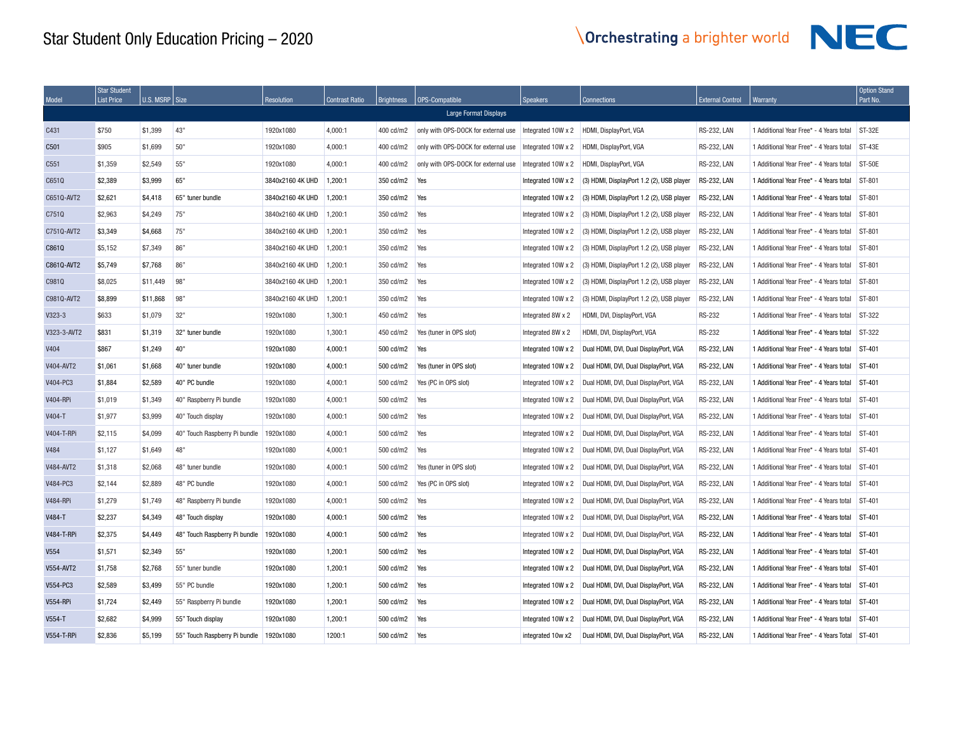| Model             | <b>Star Student</b><br><b>List Price</b> | U.S. MSRP Size |                               | <b>Resolution</b> | <b>Contrast Ratio</b> | Brightness | OPS-Compatible                      | <b>Speakers</b>    | <b>Connections</b>                        | <b>External Control</b> | Warranty                                | <b>Option Stand</b><br>Part No. |
|-------------------|------------------------------------------|----------------|-------------------------------|-------------------|-----------------------|------------|-------------------------------------|--------------------|-------------------------------------------|-------------------------|-----------------------------------------|---------------------------------|
|                   |                                          |                |                               |                   |                       |            | Large Format Displays               |                    |                                           |                         |                                         |                                 |
| C431              | \$750                                    | \$1,399        | 43"                           | 1920x1080         | 4.000:1               | 400 cd/m2  | only with OPS-DOCK for external use | Integrated 10W x 2 | HDMI, DisplayPort, VGA                    | <b>RS-232, LAN</b>      | 1 Additional Year Free* - 4 Years total | ST-32E                          |
| C501              | \$905                                    | \$1,699        | 50"                           | 1920x1080         | 4.000:1               | 400 cd/m2  | only with OPS-DOCK for external use | Integrated 10W x 2 | HDMI. DisplayPort, VGA                    | <b>RS-232, LAN</b>      | 1 Additional Year Free* - 4 Years total | $ST-43E$                        |
| C551              | \$1,359                                  | \$2,549        | 55"                           | 1920x1080         | 4,000:1               | 400 cd/m2  | only with OPS-DOCK for external use | Integrated 10W x 2 | HDMI, DisplayPort, VGA                    | <b>RS-232, LAN</b>      | 1 Additional Year Free* - 4 Years total | <b>ST-50E</b>                   |
| C651Q             | \$2,389                                  | \$3,999        | 65"                           | 3840x2160 4K UHD  | 1.200:1               | 350 cd/m2  | Yes                                 | Integrated 10W x 2 | (3) HDMI, DisplayPort 1.2 (2), USB player | <b>RS-232, LAN</b>      | 1 Additional Year Free* - 4 Years total | ST-801                          |
| C6510-AVT2        | \$2.621                                  | \$4,418        | 65" tuner bundle              | 3840x2160 4K UHD  | 1.200:1               | 350 cd/m2  | Yes                                 | Integrated 10W x 2 | (3) HDMI, DisplayPort 1.2 (2), USB player | <b>RS-232, LAN</b>      | 1 Additional Year Free* - 4 Years total | ST-801                          |
| C751Q             | \$2,963                                  | \$4.249        | 75"                           | 3840x2160 4K UHD  | 1.200:1               | 350 cd/m2  | Yes                                 | Integrated 10W x 2 | (3) HDMI, DisplayPort 1.2 (2), USB player | <b>RS-232, LAN</b>      | 1 Additional Year Free* - 4 Years total | ST-801                          |
| C751Q-AVT2        | \$3,349                                  | \$4,668        | 75"                           | 3840x2160 4K UHD  | 1,200:1               | 350 cd/m2  | Yes                                 | Integrated 10W x 2 | (3) HDMI, DisplayPort 1.2 (2), USB player | <b>RS-232, LAN</b>      | 1 Additional Year Free* - 4 Years total | ST-801                          |
| C861Q             | \$5,152                                  | \$7,349        | 86"                           | 3840x2160 4K UHD  | 1,200:1               | 350 cd/m2  | Yes                                 | Integrated 10W x 2 | (3) HDMI, DisplayPort 1.2 (2), USB player | <b>RS-232, LAN</b>      | 1 Additional Year Free* - 4 Years total | ST-801                          |
| C8610-AVT2        | \$5,749                                  | \$7,768        | 86"                           | 3840x2160 4K UHD  | 1,200:1               | 350 cd/m2  | Yes                                 | Integrated 10W x 2 | (3) HDMI, DisplayPort 1.2 (2), USB player | <b>RS-232, LAN</b>      | 1 Additional Year Free* - 4 Years total | ST-801                          |
| C981Q             | \$8,025                                  | \$11,449       | 98"                           | 3840x2160 4K UHD  | 1,200:1               | 350 cd/m2  | Yes                                 | Integrated 10W x 2 | (3) HDMI, DisplayPort 1.2 (2), USB player | <b>RS-232, LAN</b>      | 1 Additional Year Free* - 4 Years total | ST-801                          |
| C9810-AVT2        | \$8,899                                  | \$11,868       | 98"                           | 3840x2160 4K UHD  | 1.200:1               | 350 cd/m2  | Yes                                 | Integrated 10W x 2 | (3) HDMI, DisplayPort 1.2 (2), USB player | <b>RS-232, LAN</b>      | 1 Additional Year Free* - 4 Years total | ST-801                          |
| $V323-3$          | \$633                                    | \$1,079        | 32"                           | 1920x1080         | 1,300:1               | 450 cd/m2  | Yes                                 | Integrated 8W x 2  | HDMI, DVI, DisplayPort, VGA               | <b>RS-232</b>           | 1 Additional Year Free* - 4 Years total | ST-322                          |
| V323-3-AVT2       | \$831                                    | \$1,319        | 32" tuner bundle              | 1920x1080         | 1,300:1               | 450 cd/m2  | Yes (tuner in OPS slot)             | Integrated 8W x 2  | HDMI, DVI, DisplayPort, VGA               | <b>RS-232</b>           | 1 Additional Year Free* - 4 Years total | ST-322                          |
| V404              | \$867                                    | \$1,249        | 40"                           | 1920x1080         | 4,000:1               | 500 cd/m2  | Yes                                 | Integrated 10W x 2 | Dual HDMI, DVI, Dual DisplayPort, VGA     | <b>RS-232, LAN</b>      | 1 Additional Year Free* - 4 Years total | ST-401                          |
| V404-AVT2         | \$1.061                                  | \$1,668        | 40" tuner bundle              | 1920x1080         | 4.000:1               | 500 cd/m2  | Yes (tuner in OPS slot)             | Integrated 10W x 2 | Dual HDMI, DVI, Dual DisplayPort, VGA     | <b>RS-232, LAN</b>      | 1 Additional Year Free* - 4 Years total | ST-401                          |
| V404-PC3          | \$1,884                                  | \$2,589        | 40" PC bundle                 | 1920x1080         | 4,000:1               | 500 cd/m2  | Yes (PC in OPS slot)                | Integrated 10W x 2 | Dual HDMI, DVI, Dual DisplayPort, VGA     | <b>RS-232, LAN</b>      | 1 Additional Year Free* - 4 Years total | ST-401                          |
| <b>V404-RPi</b>   | \$1,019                                  | \$1,349        | 40" Raspberry Pi bundle       | 1920x1080         | 4,000:1               | 500 cd/m2  | Yes                                 | Integrated 10W x 2 | Dual HDMI, DVI, Dual DisplayPort, VGA     | <b>RS-232, LAN</b>      | 1 Additional Year Free* - 4 Years total | ST-401                          |
| V404-T            | \$1,977                                  | \$3,999        | 40" Touch display             | 1920x1080         | 4,000:1               | 500 cd/m2  | Yes                                 | Integrated 10W x 2 | Dual HDMI, DVI, Dual DisplayPort, VGA     | <b>RS-232, LAN</b>      | 1 Additional Year Free* - 4 Years total | ST-401                          |
| V404-T-RPi        | \$2,115                                  | \$4,099        | 40" Touch Raspberry Pi bundle | 1920x1080         | 4,000:1               | 500 cd/m2  | Yes                                 | Integrated 10W x 2 | Dual HDMI, DVI, Dual DisplayPort, VGA     | <b>RS-232, LAN</b>      | 1 Additional Year Free* - 4 Years total | ST-401                          |
| V484              | \$1,127                                  | \$1,649        | 48"                           | 1920x1080         | 4,000:1               | 500 cd/m2  | Yes                                 | Integrated 10W x 2 | Dual HDMI, DVI, Dual DisplayPort, VGA     | <b>RS-232, LAN</b>      | 1 Additional Year Free* - 4 Years total | ST-401                          |
| V484-AVT2         | \$1,318                                  | \$2,068        | 48" tuner bundle              | 1920x1080         | 4,000:1               | 500 cd/m2  | Yes (tuner in OPS slot)             | Integrated 10W x 2 | Dual HDMI, DVI, Dual DisplayPort, VGA     | <b>RS-232, LAN</b>      | 1 Additional Year Free* - 4 Years total | ST-401                          |
| V484-PC3          | \$2.144                                  | \$2,889        | 48" PC bundle                 | 1920x1080         | 4,000:1               | 500 cd/m2  | Yes (PC in OPS slot)                | Integrated 10W x 2 | Dual HDMI, DVI, Dual DisplayPort, VGA     | <b>RS-232, LAN</b>      | 1 Additional Year Free* - 4 Years total | ST-401                          |
| <b>V484-RPi</b>   | \$1,279                                  | \$1.749        | 48" Raspberry Pi bundle       | 1920x1080         | 4,000:1               | 500 cd/m2  | Yes                                 | Integrated 10W x 2 | Dual HDMI, DVI, Dual DisplayPort, VGA     | <b>RS-232, LAN</b>      | 1 Additional Year Free* - 4 Years total | ST-401                          |
| V484-T            | \$2,237                                  | \$4.349        | 48" Touch display             | 1920x1080         | 4.000:1               | 500 cd/m2  | Yes                                 | Integrated 10W x 2 | Dual HDMI, DVI, Dual DisplayPort, VGA     | <b>RS-232, LAN</b>      | 1 Additional Year Free* - 4 Years total | ST-401                          |
| <b>V484-T-RPi</b> | \$2,375                                  | \$4,449        | 48" Touch Raspberry Pi bundle | 1920x1080         | 4,000:1               | 500 cd/m2  | Yes                                 | Integrated 10W x 2 | Dual HDMI, DVI, Dual DisplayPort, VGA     | <b>RS-232, LAN</b>      | 1 Additional Year Free* - 4 Years total | ST-401                          |
| V554              | \$1,571                                  | \$2,349        | 55"                           | 1920x1080         | 1,200:1               | 500 cd/m2  | Yes                                 | Integrated 10W x 2 | Dual HDMI, DVI, Dual DisplayPort, VGA     | <b>RS-232, LAN</b>      | 1 Additional Year Free* - 4 Years total | ST-401                          |
| V554-AVT2         | \$1,758                                  | \$2,768        | 55" tuner bundle              | 1920x1080         | 1,200:1               | 500 cd/m2  | Yes                                 | Integrated 10W x 2 | Dual HDMI, DVI, Dual DisplayPort, VGA     | <b>RS-232, LAN</b>      | 1 Additional Year Free* - 4 Years total | ST-401                          |
| V554-PC3          | \$2,589                                  | \$3,499        | 55" PC bundle                 | 1920x1080         | 1,200:1               | 500 cd/m2  | Yes                                 | Integrated 10W x 2 | Dual HDMI, DVI, Dual DisplayPort, VGA     | <b>RS-232, LAN</b>      | 1 Additional Year Free* - 4 Years total | ST-401                          |
| <b>V554-RPi</b>   | \$1,724                                  | \$2,449        | 55" Raspberry Pi bundle       | 1920x1080         | 1,200:1               | 500 cd/m2  | Yes                                 | Integrated 10W x 2 | Dual HDMI, DVI, Dual DisplayPort, VGA     | <b>RS-232, LAN</b>      | 1 Additional Year Free* - 4 Years total | ST-401                          |
| V554-T            | \$2.682                                  | \$4,999        | 55" Touch display             | 1920x1080         | 1,200:1               | 500 cd/m2  | Yes                                 | Integrated 10W x 2 | Dual HDMI, DVI, Dual DisplayPort, VGA     | <b>RS-232, LAN</b>      | 1 Additional Year Free* - 4 Years total | ST-401                          |
| <b>V554-T-RPi</b> | \$2,836                                  | \$5,199        | 55" Touch Raspberry Pi bundle | 1920x1080         | 1200:1                | 500 cd/m2  | Yes                                 | integrated 10w x2  | Dual HDMI, DVI, Dual DisplayPort, VGA     | <b>RS-232, LAN</b>      | 1 Additional Year Free* - 4 Years Total | ST-401                          |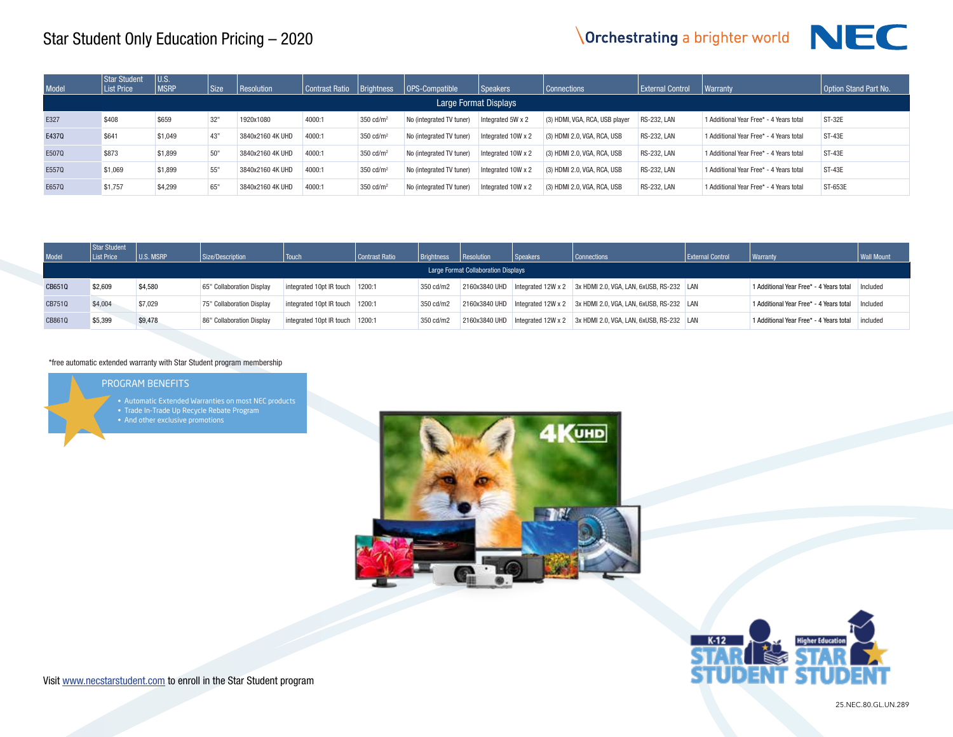## **Orchestrating a brighter world**



| Model  | Star Student<br><b>List Price</b> | U.S. MSRP | Size/Description          | Touch                             | Contrast Ratio | <b>Brightness</b> | Resolution                                 | Speakers | Connections                                                                        | External Control | <b>Warranty</b>                         | Wall Mount |
|--------|-----------------------------------|-----------|---------------------------|-----------------------------------|----------------|-------------------|--------------------------------------------|----------|------------------------------------------------------------------------------------|------------------|-----------------------------------------|------------|
|        |                                   |           |                           |                                   |                |                   | <b>Large Format Collaboration Displays</b> |          |                                                                                    |                  |                                         |            |
| CB6510 | \$2,609                           | \$4,580   | 65" Collaboration Display | integrated 10pt IR touch   1200:1 |                | 350 cd/m2         |                                            |          | $2160x3840$ UHD Integrated $12W \times 2$ 3x HDMI 2.0, VGA, LAN, 6xUSB, RS-232 LAN |                  | 1 Additional Year Free* - 4 Years total | Included   |
| CB751Q | \$4,004                           | \$7,029   | 75" Collaboration Display | integrated 10pt IR touch 1200:1   |                | 350 cd/m2         |                                            |          | 2160x3840 UHD   Integrated 12W x 2 3x HDMI 2.0, VGA, LAN, 6xUSB, RS-232   LAN      |                  | 1 Additional Year Free* - 4 Years total | Included   |
| CB861Q | \$5.399                           | \$9,478   | 86" Collaboration Display | integrated 10pt IR touch   1200:1 |                | 350 cd/m2         |                                            |          | 2160x3840 UHD Integrated 12W x 2 3x HDMI 2.0, VGA, LAN, 6xUSB, RS-232 LAN          |                  | 1 Additional Year Free* - 4 Years total | included   |

#### \*free automatic extended warranty with Star Student program membership

#### PROGRAM BENEFITS

- Automatic Extended Warranties on most NEC products
- 
- And other exclusive promotions





Visit www.necstarstudent.com to enroll in the Star Student program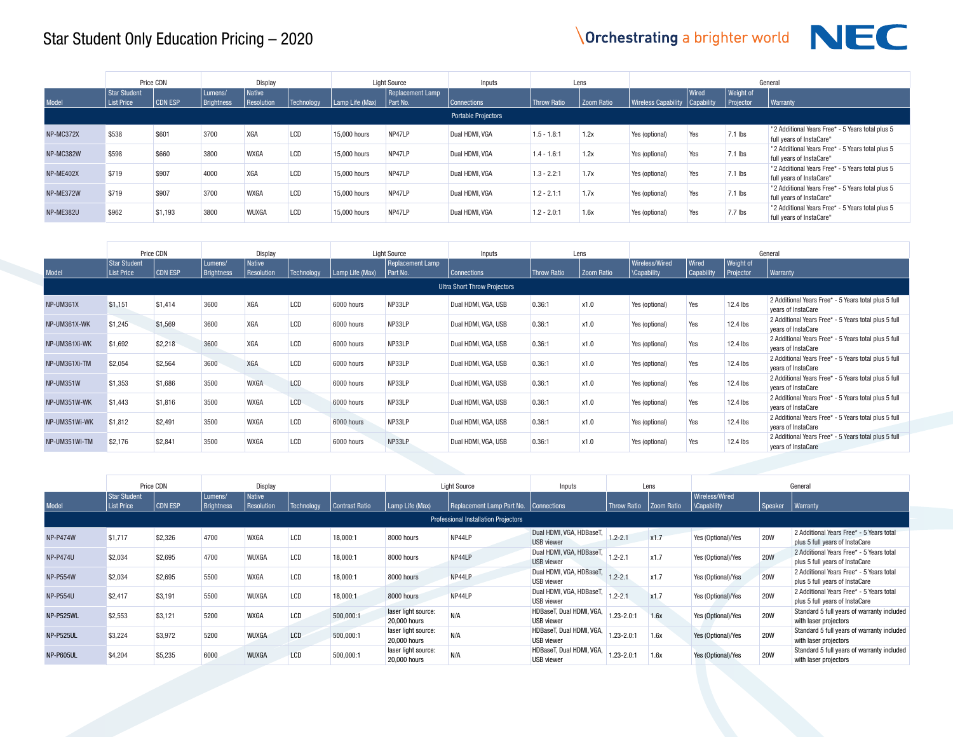

|           |                            | Price CDN |                       | <b>Display</b>         |                 |                 | <b>Light Source</b>          | Inputs                     |                    | Lens       |                                  |       |                                      | General                                                                      |
|-----------|----------------------------|-----------|-----------------------|------------------------|-----------------|-----------------|------------------------------|----------------------------|--------------------|------------|----------------------------------|-------|--------------------------------------|------------------------------------------------------------------------------|
| Model     | Star Student<br>List Price | CDN ESP   | Lumens/<br>Brightness | l Native<br>Resolution | Technology      | Lamp Life (Max) | Replacement Lamp<br>Part No. | Connections                | <b>Throw Ratio</b> | Zoom Ratio | Wireless Capability   Capability | Wired | <b>Weight of</b><br><b>Projector</b> | Warranty                                                                     |
|           |                            |           |                       |                        |                 |                 |                              | <b>Portable Projectors</b> |                    |            |                                  |       |                                      |                                                                              |
| NP-MC372X | \$538                      | \$601     | 3700                  | <b>XGA</b>             | LCD             | 15,000 hours    | NP47LP                       | Dual HDMI, VGA             | $1.5 - 1.8:1$      | 1.2x       | Yes (optional)                   | Yes   | $7.1$ lbs                            | "2 Additional Years Free* - 5 Years total plus 5<br>full years of InstaCare" |
| NP-MC382W | \$598                      | \$660     | 3800                  | <b>WXGA</b>            | L <sub>CD</sub> | 15,000 hours    | NP47LP                       | Dual HDMI, VGA             | $1.4 - 1.6:1$      | 1.2x       | Yes (optional)                   | Yes   | $7.1$ lbs                            | "2 Additional Years Free* - 5 Years total plus 5<br>full years of InstaCare" |
| NP-ME402X | \$719                      | \$907     | 4000                  | XGA                    | L <sub>CD</sub> | 15,000 hours    | NP47LP                       | Dual HDMI, VGA             | $1.3 - 2.2:1$      | 1.7x       | Yes (optional)                   | Yes   | $7.1$ lbs                            | "2 Additional Years Free* - 5 Years total plus 5<br>full years of InstaCare" |
| NP-ME372W | \$719                      | \$907     | 3700                  | <b>WXGA</b>            | L <sub>CD</sub> | 15,000 hours    | NP47LP                       | Dual HDMI, VGA             | $1.2 - 2.1:1$      | 1.7x       | Yes (optional)                   | Yes   | $7.1$ lbs                            | "2 Additional Years Free* - 5 Years total plus 5<br>full years of InstaCare" |
| NP-ME382U | \$962                      | \$1,193   | 3800                  | <b>WUXGA</b>           | LCD             | 15,000 hours    | NP47LP                       | Dual HDMI, VGA             | $1.2 - 2.0:1$      | 1.6x       | Yes (optional)                   | Yes   | $7.7$ lbs                            | "2 Additional Years Free* - 5 Years total plus 5<br>full years of InstaCare" |

|               |                                          | Price CDN |                              | Display                     |            |                 | <b>Light Source</b>                 | Inputs                              |                    | Lens       |                                     |                            |                                      | General                                                                    |
|---------------|------------------------------------------|-----------|------------------------------|-----------------------------|------------|-----------------|-------------------------------------|-------------------------------------|--------------------|------------|-------------------------------------|----------------------------|--------------------------------------|----------------------------------------------------------------------------|
| Model         | <b>Star Student</b><br><b>List Price</b> | CDN ESP   | Lumens/<br><b>Brightness</b> | <b>Native</b><br>Resolution | Technology | Lamp Life (Max) | <b>Replacement Lamp</b><br>Part No. | <b>Connections</b>                  | <b>Throw Ratio</b> | Zoom Ratio | Wireless/Wired<br><b>Capability</b> | Wired<br><b>Capability</b> | <b>Weight of</b><br><b>Projector</b> | Warranty                                                                   |
|               |                                          |           |                              |                             |            |                 |                                     | <b>Ultra Short Throw Projectors</b> |                    |            |                                     |                            |                                      |                                                                            |
| NP-UM361X     | \$1,151                                  | \$1.414   | 3600                         | XGA                         | <b>LCD</b> | 6000 hours      | NP33LP                              | Dual HDMI, VGA, USB                 | 0.36:1             | x1.0       | Yes (optional)                      | Yes                        | $12.4$ lbs                           | 2 Additional Years Free* - 5 Years total plus 5 full<br>years of InstaCare |
| NP-UM361X-WK  | \$1,245                                  | \$1,569   | 3600                         | <b>XGA</b>                  | <b>LCD</b> | 6000 hours      | NP33LP                              | Dual HDMI, VGA, USB                 | 0.36:1             | x1.0       | Yes (optional)                      | Yes                        | $12.4$ lbs                           | 2 Additional Years Free* - 5 Years total plus 5 full<br>years of InstaCare |
| NP-UM361Xi-WK | \$1,692                                  | \$2,218   | 3600                         | XGA                         | <b>LCD</b> | 6000 hours      | NP33LP                              | Dual HDMI, VGA, USB                 | 0.36:1             | x1.0       | Yes (optional)                      | Yes                        | $12.4$ lbs                           | 2 Additional Years Free* - 5 Years total plus 5 full<br>vears of InstaCare |
| NP-UM361Xi-TM | \$2,054                                  | \$2,564   | 3600                         | <b>XGA</b>                  | <b>LCD</b> | 6000 hours      | NP33LP                              | Dual HDMI, VGA, USB                 | 0.36:1             | x1.0       | Yes (optional)                      | Yes                        | $12.4$ lbs                           | 2 Additional Years Free* - 5 Years total plus 5 full<br>vears of InstaCare |
| NP-UM351W     | \$1,353                                  | \$1,686   | 3500                         | <b>WXGA</b>                 | LCD        | 6000 hours      | NP33LP                              | Dual HDMI, VGA, USB                 | 0.36:1             | x1.0       | Yes (optional)                      | Yes                        | $12.4$ lbs                           | 2 Additional Years Free* - 5 Years total plus 5 full<br>years of InstaCare |
| NP-UM351W-WK  | \$1,443                                  | \$1,816   | 3500                         | <b>WXGA</b>                 | LCD        | 6000 hours      | NP33LP                              | Dual HDMI, VGA, USB                 | 0.36:1             | x1.0       | Yes (optional)                      | Yes                        | $12.4$ lbs                           | 2 Additional Years Free* - 5 Years total plus 5 full<br>years of InstaCare |
| NP-UM351Wi-WK | \$1,812                                  | \$2.491   | 3500                         | <b>WXGA</b>                 | LCD        | 6000 hours      | NP33LP                              | Dual HDMI, VGA, USB                 | 0.36:1             | x1.0       | Yes (optional)                      | Yes                        | $12.4$ lbs                           | 2 Additional Years Free* - 5 Years total plus 5 full<br>years of InstaCare |
| NP-UM351Wi-TM | \$2,176                                  | \$2,841   | 3500                         | <b>WXGA</b>                 | LCD        | 6000 hours      | NP33LP                              | Dual HDMI, VGA, USB                 | 0.36:1             | x1.0       | Yes (optional)                      | Yes                        | $12.4$ lbs                           | 2 Additional Years Free* - 5 Years total plus 5 full<br>years of InstaCare |

|                 |                                   | Price CDN |                              | Display              |                   |                |                                     | <b>Light Source</b>                         | Inputs                                        |                    | Lens        |                                 |            | General                                                                    |
|-----------------|-----------------------------------|-----------|------------------------------|----------------------|-------------------|----------------|-------------------------------------|---------------------------------------------|-----------------------------------------------|--------------------|-------------|---------------------------------|------------|----------------------------------------------------------------------------|
| Model           | Star Student<br><b>List Price</b> | CDN ESP   | Lumens/<br><b>Brightness</b> | Native<br>Resolution | <b>Technology</b> | Contrast Ratio | Lamp Life (Max)                     | Replacement Lamp Part No.                   | Connections                                   | <b>Throw Ratio</b> | Zoom Ratio  | Wireless/Wired<br>  \Capability | Speaker    | <b>Warranty</b>                                                            |
|                 |                                   |           |                              |                      |                   |                |                                     | <b>Professional Installation Projectors</b> |                                               |                    |             |                                 |            |                                                                            |
| <b>NP-P474W</b> | \$1,717                           | \$2,326   | 4700                         | <b>WXGA</b>          | LCD               | 18.000:1       | 8000 hours                          | NP44LP                                      | Dual HDMI, VGA, HDBaseT,<br><b>USB</b> viewer | $1.2 - 2.1$        | x1.7        | Yes (Optional)/Yes              | <b>20W</b> | 2 Additional Years Free* - 5 Years total<br>plus 5 full years of InstaCare |
| <b>NP-P474U</b> | \$2.034                           | \$2.695   | 4700                         | WUXGA                | LCD               | 18.000:1       | 8000 hours                          | NP44LP                                      | Dual HDMI, VGA, HDBaseT,<br><b>USB</b> viewer | $1.2 - 2.1$        | x1.7        | Yes (Optional)/Yes              | <b>20W</b> | 2 Additional Years Free* - 5 Years total<br>plus 5 full years of InstaCare |
| <b>NP-P554W</b> | \$2,034                           | \$2,695   | 5500                         | <b>WXGA</b>          | LCD               | 18,000:1       | 8000 hours                          | NP44LP                                      | Dual HDMI, VGA, HDBaseT,<br><b>USB</b> viewer | $1.2 - 2.1$        | <b>x1.7</b> | Yes (Optional)/Yes              | <b>20W</b> | 2 Additional Years Free* - 5 Years total<br>plus 5 full years of InstaCare |
| <b>NP-P554U</b> | \$2.417                           | \$3,191   | 5500                         | WUXGA                | LCD               | 18.000:1       | 8000 hours                          | NP44LP                                      | Dual HDMI, VGA, HDBaseT,<br><b>USB</b> viewer | $1.2 - 2.1$        | x1.7        | Yes (Optional)/Yes              | <b>20W</b> | 2 Additional Years Free* - 5 Years total<br>plus 5 full years of InstaCare |
| NP-P525WL       | \$2,553                           | \$3,121   | 5200                         | <b>WXGA</b>          | LCD               | 500,000:1      | laser light source:<br>20,000 hours | N/A                                         | HDBaseT, Dual HDMI, VGA,<br><b>USB</b> viewer | $1.23 - 2.0:1$     | 1.6x        | Yes (Optional)/Yes              | 20W        | Standard 5 full years of warranty included<br>with laser projectors        |
| NP-P525UL       | \$3.224                           | \$3,972   | 5200                         | WUXGA                | LCD               | 500,000:1      | laser light source:<br>20,000 hours | N/A                                         | HDBaseT, Dual HDMI, VGA,<br><b>USB</b> viewer | $1.23 - 2.0:1$     | 1.6x        | Yes (Optional)/Yes              | <b>20W</b> | Standard 5 full years of warranty included<br>with laser projectors        |
| NP-P605UL       | \$4,204                           | \$5.235   | 6000                         | WUXGA                | LCD               | 500,000:1      | laser light source:<br>20,000 hours | N/A                                         | HDBaseT, Dual HDMI, VGA,<br><b>USB</b> viewer | $1.23 - 2.01$      | 1.6x        | Yes (Optional)/Yes              | <b>20W</b> | Standard 5 full years of warranty included<br>with laser projectors        |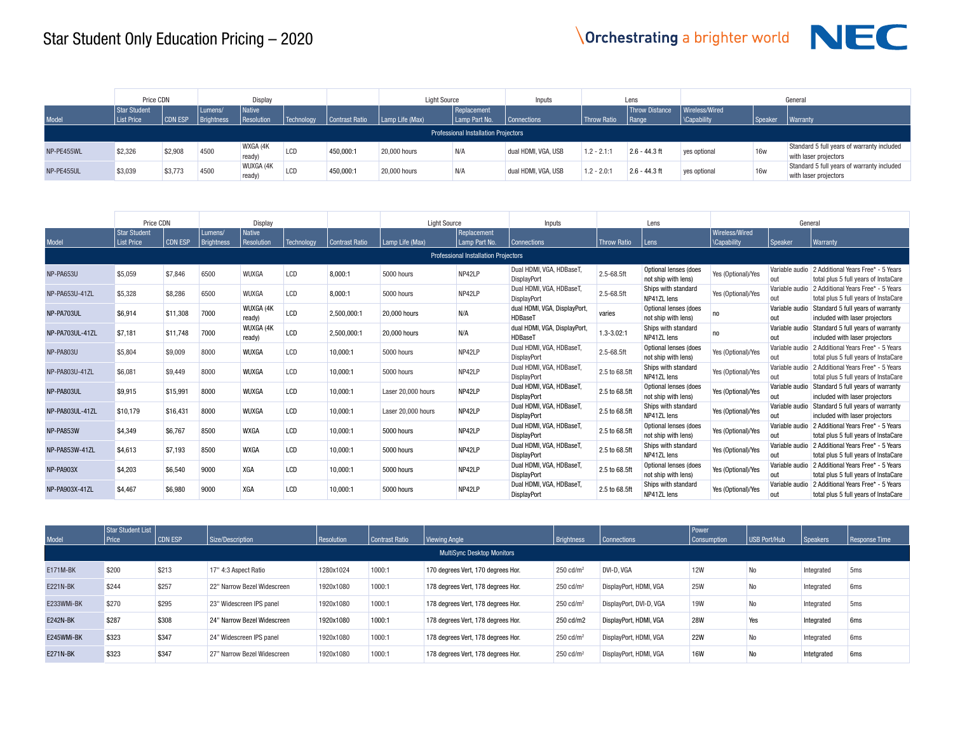

|            | Price CDN                         |                |                              | Display                     |            |                | <b>Light Source</b>     |                                             | Inputs              |               | Lens                                   |                                 |           | General                                                             |
|------------|-----------------------------------|----------------|------------------------------|-----------------------------|------------|----------------|-------------------------|---------------------------------------------|---------------------|---------------|----------------------------------------|---------------------------------|-----------|---------------------------------------------------------------------|
| Model      | Star Student<br><b>List Price</b> | <b>CDN ESP</b> | Lumens/<br><b>Brightness</b> | <i>Native</i><br>Resolution | Technoloav | Contrast Ratio | $\vert$ Lamp Life (Max) | Replacement<br>Lamp Part No.                | <b>Connections</b>  | Throw Ratio   | <b>Throw Distance</b><br>$\vert$ Range | Wireless/Wired<br>  \Capability | I Speaker | Warranty                                                            |
|            |                                   |                |                              |                             |            |                |                         | <b>Professional Installation Projectors</b> |                     |               |                                        |                                 |           |                                                                     |
| NP-PE455WL | \$2,326                           | \$2,908        | 4500                         | WXGA (4K<br>ready)          | LCD        | 450,000:1      | 20,000 hours            | N/A                                         | dual HDMI, VGA, USB | $1.2 - 2.1:1$ | $2.6 - 44.3$ ft                        | yes optional                    | 16w       | Standard 5 full years of warranty included<br>with laser projectors |
| NP-PE455UL | \$3,039                           | \$3,773        | 4500                         | WUXGA (4K)<br>ready)        | LCD        | 450,000:1      | 20,000 hours            | N/A                                         | dual HDMI, VGA, USB | $1.2 - 2.0:1$ | $2.6 - 44.3$ ft                        | yes optional                    | 16w       | Standard 5 full years of warranty included<br>with laser projectors |

|                                             | Price CDN                                |                | Display                      |                             |            | <b>Light Source</b>   |                    | Inputs                       | Lens                                           |                    | General                                      |                                      |                       |                                                                            |
|---------------------------------------------|------------------------------------------|----------------|------------------------------|-----------------------------|------------|-----------------------|--------------------|------------------------------|------------------------------------------------|--------------------|----------------------------------------------|--------------------------------------|-----------------------|----------------------------------------------------------------------------|
| Model                                       | <b>Star Student</b><br><b>List Price</b> | <b>CDN ESP</b> | Lumens/<br><b>Brightness</b> | <b>Native</b><br>Resolution | Technology | <b>Contrast Ratio</b> | Lamp Life (Max)    | Replacement<br>Lamp Part No. | <b>Connections</b>                             | <b>Throw Ratio</b> | l Lens                                       | Wireless/Wired<br><b>\Capability</b> | Speaker               | <b>Warranty</b>                                                            |
| <b>Professional Installation Projectors</b> |                                          |                |                              |                             |            |                       |                    |                              |                                                |                    |                                              |                                      |                       |                                                                            |
| NP-PA653U                                   | \$5,059                                  | \$7,846        | 6500                         | WUXGA                       | LCD        | 8,000:1               | 5000 hours         | NP42LP                       | Dual HDMI, VGA, HDBaseT,<br>DisplayPort        | 2.5-68.5ft         | Optional lenses (does<br>not ship with lens) | Yes (Optional)/Yes                   | Variable audio<br>out | 2 Additional Years Free* - 5 Years<br>total plus 5 full years of InstaCare |
| NP-PA653U-41ZL                              | \$5,328                                  | \$8,286        | 6500                         | WUXGA                       | LCD        | 8.000:1               | 5000 hours         | NP42LP                       | Dual HDMI, VGA, HDBaseT<br>DisplayPort         | 2.5-68.5ft         | Ships with standard<br>NP41ZL lens           | Yes (Optional)/Yes                   | Variable audio<br>out | 2 Additional Years Free* - 5 Years<br>total plus 5 full years of InstaCare |
| NP-PA703UL                                  | \$6.914                                  | \$11.308       | 7000                         | WUXGA (4K<br>ready)         | LCD        | 2,500,000:1           | 20,000 hours       | N/A                          | dual HDMI, VGA, DisplayPort,<br>HDBaseT        | varies             | Optional lenses (does<br>not ship with lens) | no                                   | Variable audio<br>out | Standard 5 full years of warranty<br>included with laser projectors        |
| NP-PA703UL-41ZL                             | \$7.181                                  | \$11.748       | 7000                         | WUXGA (4K<br>ready)         | LCD        | 2,500,000:1           | 20,000 hours       | N/A                          | dual HDMI, VGA, DisplayPort,<br>HDBaseT        | $1.3 - 3.02:1$     | Ships with standard<br>NP41ZL lens           | no                                   | Variable audio<br>out | Standard 5 full vears of warranty<br>included with laser projectors        |
| NP-PA803U                                   | \$5,804                                  | \$9,009        | 8000                         | WUXGA                       | LCD        | 10.000:1              | 5000 hours         | NP42LP                       | Dual HDMI, VGA, HDBaseT<br>DisplayPort         | 2.5-68.5ft         | Optional lenses (does<br>not ship with lens) | Yes (Optional)/Yes                   | Variable audio<br>out | 2 Additional Years Free* - 5 Years<br>total plus 5 full years of InstaCare |
| NP-PA803U-41ZL                              | \$6.081                                  | \$9,449        | 8000                         | WUXGA                       | LCD        | 10.000:1              | 5000 hours         | NP42LP                       | Dual HDMI, VGA, HDBaseT,<br><b>DisplayPort</b> | 2.5 to 68.5ft      | Ships with standard<br>NP41ZL lens           | Yes (Optional)/Yes                   | Variable audio<br>out | 2 Additional Years Free* - 5 Years<br>total plus 5 full years of InstaCare |
| NP-PA803UL                                  | \$9.915                                  | \$15.991       | 8000                         | WUXGA                       | LCD        | 10,000:1              | Laser 20,000 hours | NP42LP                       | Dual HDMI, VGA, HDBaseT,<br>DisplayPort        | 2.5 to 68.5ft      | Optional lenses (does<br>not ship with lens) | Yes (Optional)/Yes                   | Variable audio<br>out | Standard 5 full years of warranty<br>included with laser projectors        |
| NP-PA803UL-41ZL                             | \$10.179                                 | \$16.431       | 8000                         | WUXGA                       | LCD        | 10.000:1              | Laser 20,000 hours | NP42LP                       | Dual HDMI, VGA, HDBaseT,<br><b>DisplayPort</b> | 2.5 to 68.5ft      | Ships with standard<br>NP41ZL lens           | Yes (Optional)/Yes                   | Variable audio<br>out | Standard 5 full years of warranty<br>included with laser projectors        |
| NP-PA853W                                   | \$4,349                                  | \$6.767        | 8500                         | <b>WXGA</b>                 | LCD        | 10.000:1              | 5000 hours         | NP42LP                       | Dual HDMI, VGA, HDBaseT,<br><b>DisplayPort</b> | 2.5 to 68.5ft      | Optional lenses (does<br>not ship with lens) | Yes (Optional)/Yes                   | Variable audio<br>out | 2 Additional Years Free* - 5 Years<br>total plus 5 full years of InstaCare |
| NP-PA853W-41ZL                              | \$4.613                                  | \$7.193        | 8500                         | <b>WXGA</b>                 | LCD        | 10.000:1              | 5000 hours         | NP42LP                       | Dual HDMI, VGA, HDBaseT<br><b>DisplayPort</b>  | 2.5 to 68.5ft      | Ships with standard<br>NP41ZL lens           | Yes (Optional)/Yes                   | Variable audio<br>out | 2 Additional Years Free* - 5 Years<br>total plus 5 full years of InstaCare |
| NP-PA903X                                   | \$4.203                                  | \$6.540        | 9000                         | XGA                         | LCD        | 10.000:1              | 5000 hours         | <b>NP42LP</b>                | Dual HDMI, VGA, HDBaseT<br><b>DisplayPort</b>  | 2.5 to 68.5ft      | Optional lenses (does<br>not ship with lens) | Yes (Optional)/Yes                   | Variable audio<br>out | 2 Additional Years Free* - 5 Years<br>total plus 5 full years of InstaCare |
| NP-PA903X-41ZL                              | \$4.467                                  | \$6.980        | 9000                         | XGA                         | LCD        | 10.000:1              | 5000 hours         | NP42LP                       | Dual HDMI, VGA, HDBaseT<br><b>DisplayPort</b>  | 2.5 to 68.5ft      | Ships with standard<br>NP41ZL lens           | Yes (Optional)/Yes                   | Variable audio<br>out | 2 Additional Years Free* - 5 Years<br>total plus 5 full years of InstaCare |

|                 | Star Student List                 |                |                             |            |                       |                                    |                       |                         | Power       |              |             |                 |  |
|-----------------|-----------------------------------|----------------|-----------------------------|------------|-----------------------|------------------------------------|-----------------------|-------------------------|-------------|--------------|-------------|-----------------|--|
| Model           | Price                             | <b>CDN ESP</b> | Size/Description            | Resolution | <b>Contrast Ratio</b> | Viewing Angle                      | Brightness            | Connections             | Consumption | USB Port/Hub | Speakers    | Response Time   |  |
|                 | <b>MultiSync Desktop Monitors</b> |                |                             |            |                       |                                    |                       |                         |             |              |             |                 |  |
| E171M-BK        | \$200                             | \$213          | 17" 4:3 Aspect Ratio        | 1280x1024  | 1000:1                | 170 degrees Vert, 170 degrees Hor. | 250 cd/m <sup>2</sup> | DVI-D. VGA              | <b>12W</b>  | No           | Integrated  | 5 <sub>ms</sub> |  |
| <b>E221N-BK</b> | \$244                             | \$257          | 22" Narrow Bezel Widescreen | 1920x1080  | 1000:1                | 178 degrees Vert, 178 degrees Hor. | 250 cd/m <sup>2</sup> | DisplayPort, HDMI, VGA  | <b>25W</b>  | No           | Integrated  | 6ms             |  |
| E233WMi-BK      | \$270                             | \$295          | 23" Widescreen IPS panel    | 1920x1080  | 1000:1                | 178 degrees Vert, 178 degrees Hor. | $250 \text{ cd/m}^2$  | DisplayPort, DVI-D, VGA | 19W         | No           | Integrated  | 5 <sub>ms</sub> |  |
| <b>E242N-BK</b> | \$287                             | \$308          | 24" Narrow Bezel Widescreen | 1920x1080  | 1000:1                | 178 degrees Vert, 178 degrees Hor. | 250 cd/m2             | DisplayPort, HDMI, VGA  | <b>28W</b>  | Yes          | Integrated  | 6 <sub>ms</sub> |  |
| E245WMi-BK      | \$323                             | \$347          | 24" Widescreen IPS panel    | 1920x1080  | 1000:1                | 178 degrees Vert, 178 degrees Hor. | $250 \text{ cd/m}^2$  | DisplayPort, HDMI, VGA  | <b>22W</b>  | No           | Integrated  | 6 <sub>ms</sub> |  |
| <b>E271N-BK</b> | \$323                             | \$347          | 27" Narrow Bezel Widescreen | 1920x1080  | 1000:1                | 178 degrees Vert, 178 degrees Hor. | $250 \text{ cd/m}^2$  | DisplayPort, HDMI, VGA  | <b>16W</b>  | No           | Intetgrated | 6 <sub>ms</sub> |  |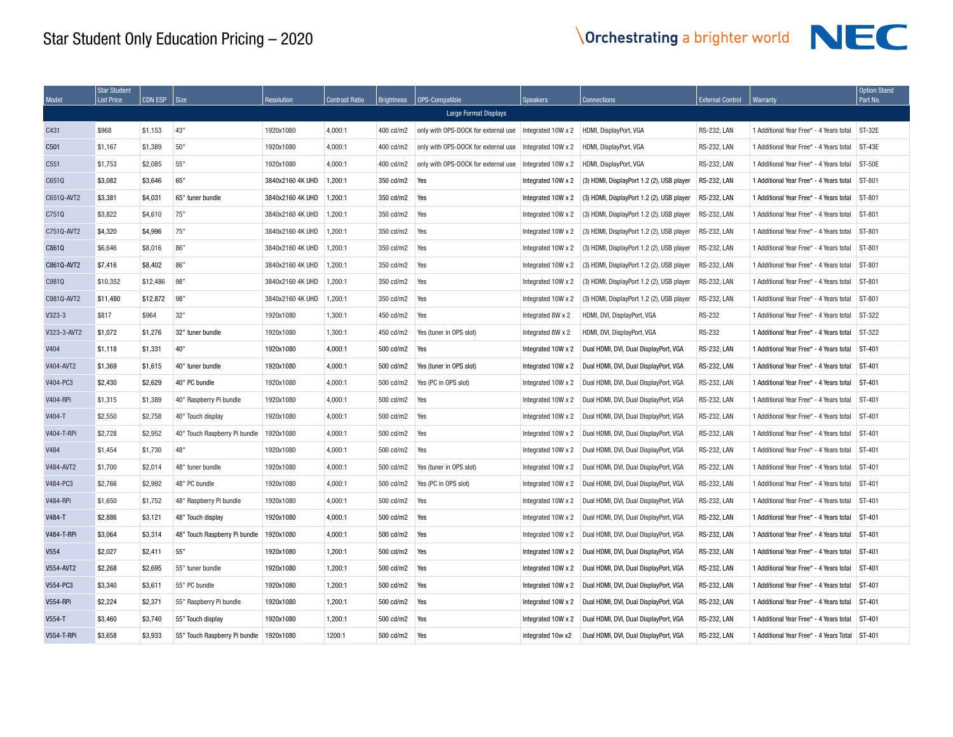| Model             | <b>Star Student</b><br><b>List Price</b> | <b>CDN ESP</b> | Size                          | <b>Resolution</b> | <b>Contrast Ratio</b> | Brightness | OPS-Compatible                      | <b>Speakers</b>    | <b>Connections</b>                        | <b>External Control</b> | Warranty                                | <b>Option Stand</b><br>Part No. |
|-------------------|------------------------------------------|----------------|-------------------------------|-------------------|-----------------------|------------|-------------------------------------|--------------------|-------------------------------------------|-------------------------|-----------------------------------------|---------------------------------|
|                   |                                          |                |                               |                   |                       |            | Large Format Displays               |                    |                                           |                         |                                         |                                 |
| C431              | \$968                                    | \$1.153        | 43"                           | 1920x1080         | 4.000:1               | 400 cd/m2  | only with OPS-DOCK for external use | Integrated 10W x 2 | HDMI, DisplayPort, VGA                    | <b>RS-232, LAN</b>      | 1 Additional Year Free* - 4 Years total | ST-32E                          |
| C501              | \$1.167                                  | \$1,389        | 50"                           | 1920x1080         | 4.000:1               | 400 cd/m2  | only with OPS-DOCK for external use | Integrated 10W x 2 | HDMI. DisplayPort, VGA                    | <b>RS-232, LAN</b>      | 1 Additional Year Free* - 4 Years total | $ST-43E$                        |
| C551              | \$1,753                                  | \$2,085        | 55"                           | 1920x1080         | 4,000:1               | 400 cd/m2  | only with OPS-DOCK for external use | Integrated 10W x 2 | HDMI, DisplayPort, VGA                    | <b>RS-232, LAN</b>      | 1 Additional Year Free* - 4 Years total | <b>ST-50E</b>                   |
| C651Q             | \$3,082                                  | \$3,646        | 65"                           | 3840x2160 4K UHD  | 1.200:1               | 350 cd/m2  | Yes                                 | Integrated 10W x 2 | (3) HDMI, DisplayPort 1.2 (2), USB player | <b>RS-232, LAN</b>      | 1 Additional Year Free* - 4 Years total | ST-801                          |
| C6510-AVT2        | \$3,381                                  | \$4.031        | 65" tuner bundle              | 3840x2160 4K UHD  | 1.200:1               | 350 cd/m2  | Yes                                 | Integrated 10W x 2 | (3) HDMI, DisplayPort 1.2 (2), USB player | <b>RS-232, LAN</b>      | 1 Additional Year Free* - 4 Years total | ST-801                          |
| C751Q             | \$3,822                                  | \$4,610        | 75"                           | 3840x2160 4K UHD  | 1.200:1               | 350 cd/m2  | Yes                                 | Integrated 10W x 2 | (3) HDMI, DisplayPort 1.2 (2), USB player | <b>RS-232, LAN</b>      | 1 Additional Year Free* - 4 Years total | ST-801                          |
| C751Q-AVT2        | \$4,320                                  | \$4,996        | 75"                           | 3840x2160 4K UHD  | 1,200:1               | 350 cd/m2  | Yes                                 | Integrated 10W x 2 | (3) HDMI, DisplayPort 1.2 (2), USB player | <b>RS-232, LAN</b>      | 1 Additional Year Free* - 4 Years total | ST-801                          |
| C861Q             | \$6,646                                  | \$8,016        | 86"                           | 3840x2160 4K UHD  | 1,200:1               | 350 cd/m2  | Yes                                 | Integrated 10W x 2 | (3) HDMI, DisplayPort 1.2 (2), USB player | <b>RS-232, LAN</b>      | 1 Additional Year Free* - 4 Years total | ST-801                          |
| C8610-AVT2        | \$7,416                                  | \$8,402        | 86"                           | 3840x2160 4K UHD  | 1,200:1               | 350 cd/m2  | Yes                                 | Integrated 10W x 2 | (3) HDMI, DisplayPort 1.2 (2), USB player | <b>RS-232, LAN</b>      | 1 Additional Year Free* - 4 Years total | ST-801                          |
| C981Q             | \$10,352                                 | \$12,486       | 98"                           | 3840x2160 4K UHD  | 1,200:1               | 350 cd/m2  | Yes                                 | Integrated 10W x 2 | (3) HDMI, DisplayPort 1.2 (2), USB player | <b>RS-232, LAN</b>      | 1 Additional Year Free* - 4 Years total | ST-801                          |
| C9810-AVT2        | \$11,480                                 | \$12,872       | 98"                           | 3840x2160 4K UHD  | 1.200:1               | 350 cd/m2  | Yes                                 | Integrated 10W x 2 | (3) HDMI, DisplayPort 1.2 (2), USB player | <b>RS-232, LAN</b>      | 1 Additional Year Free* - 4 Years total | ST-801                          |
| $V323-3$          | \$817                                    | \$964          | 32"                           | 1920x1080         | 1,300:1               | 450 cd/m2  | Yes                                 | Integrated 8W x 2  | HDMI, DVI, DisplayPort, VGA               | <b>RS-232</b>           | 1 Additional Year Free* - 4 Years total | ST-322                          |
| V323-3-AVT2       | \$1,072                                  | \$1,276        | 32" tuner bundle              | 1920x1080         | 1,300:1               | 450 cd/m2  | Yes (tuner in OPS slot)             | Integrated 8W x 2  | HDMI, DVI, DisplayPort, VGA               | <b>RS-232</b>           | 1 Additional Year Free* - 4 Years total | ST-322                          |
| V404              | \$1,118                                  | \$1,331        | 40"                           | 1920x1080         | 4,000:1               | 500 cd/m2  | Yes                                 | Integrated 10W x 2 | Dual HDMI, DVI, Dual DisplayPort, VGA     | <b>RS-232, LAN</b>      | 1 Additional Year Free* - 4 Years total | ST-401                          |
| V404-AVT2         | \$1.369                                  | \$1.615        | 40" tuner bundle              | 1920x1080         | 4.000:1               | 500 cd/m2  | Yes (tuner in OPS slot)             | Integrated 10W x 2 | Dual HDMI, DVI, Dual DisplayPort, VGA     | <b>RS-232, LAN</b>      | 1 Additional Year Free* - 4 Years total | ST-401                          |
| V404-PC3          | \$2,430                                  | \$2,629        | 40" PC bundle                 | 1920x1080         | 4,000:1               | 500 cd/m2  | Yes (PC in OPS slot)                | Integrated 10W x 2 | Dual HDMI, DVI, Dual DisplayPort, VGA     | <b>RS-232, LAN</b>      | 1 Additional Year Free* - 4 Years total | ST-401                          |
| <b>V404-RPi</b>   | \$1,315                                  | \$1,389        | 40" Raspberry Pi bundle       | 1920x1080         | 4,000:1               | 500 cd/m2  | Yes                                 | Integrated 10W x 2 | Dual HDMI, DVI, Dual DisplayPort, VGA     | <b>RS-232, LAN</b>      | 1 Additional Year Free* - 4 Years total | ST-401                          |
| V404-T            | \$2,550                                  | \$2,758        | 40" Touch display             | 1920x1080         | 4,000:1               | 500 cd/m2  | Yes                                 | Integrated 10W x 2 | Dual HDMI, DVI, Dual DisplayPort, VGA     | <b>RS-232, LAN</b>      | 1 Additional Year Free* - 4 Years total | ST-401                          |
| V404-T-RPi        | \$2,728                                  | \$2.952        | 40" Touch Raspberry Pi bundle | 1920x1080         | 4,000:1               | 500 cd/m2  | Yes                                 | Integrated 10W x 2 | Dual HDMI, DVI, Dual DisplayPort, VGA     | <b>RS-232, LAN</b>      | 1 Additional Year Free* - 4 Years total | ST-401                          |
| V484              | \$1,454                                  | \$1,730        | 48"                           | 1920x1080         | 4,000:1               | 500 cd/m2  | Yes                                 | Integrated 10W x 2 | Dual HDMI, DVI, Dual DisplayPort, VGA     | <b>RS-232, LAN</b>      | 1 Additional Year Free* - 4 Years total | ST-401                          |
| V484-AVT2         | \$1,700                                  | \$2,014        | 48" tuner bundle              | 1920x1080         | 4,000:1               | 500 cd/m2  | Yes (tuner in OPS slot)             | Integrated 10W x 2 | Dual HDMI, DVI, Dual DisplayPort, VGA     | <b>RS-232, LAN</b>      | 1 Additional Year Free* - 4 Years total | ST-401                          |
| V484-PC3          | \$2,766                                  | \$2,992        | 48" PC bundle                 | 1920x1080         | 4,000:1               | 500 cd/m2  | Yes (PC in OPS slot)                | Integrated 10W x 2 | Dual HDMI, DVI, Dual DisplayPort, VGA     | <b>RS-232, LAN</b>      | 1 Additional Year Free* - 4 Years total | ST-401                          |
| <b>V484-RPi</b>   | \$1,650                                  | \$1.752        | 48" Raspberry Pi bundle       | 1920x1080         | 4,000:1               | 500 cd/m2  | Yes                                 | Integrated 10W x 2 | Dual HDMI, DVI, Dual DisplayPort, VGA     | <b>RS-232, LAN</b>      | 1 Additional Year Free* - 4 Years total | ST-401                          |
| V484-T            | \$2,886                                  | \$3,121        | 48" Touch display             | 1920x1080         | 4.000:1               | 500 cd/m2  | Yes                                 | Integrated 10W x 2 | Dual HDMI, DVI, Dual DisplayPort, VGA     | <b>RS-232, LAN</b>      | 1 Additional Year Free* - 4 Years total | ST-401                          |
| <b>V484-T-RPi</b> | \$3,064                                  | \$3,314        | 48" Touch Raspberry Pi bundle | 1920x1080         | 4,000:1               | 500 cd/m2  | Yes                                 | Integrated 10W x 2 | Dual HDMI, DVI, Dual DisplayPort, VGA     | <b>RS-232, LAN</b>      | 1 Additional Year Free* - 4 Years total | ST-401                          |
| V554              | \$2,027                                  | \$2,411        | 55"                           | 1920x1080         | 1,200:1               | 500 cd/m2  | Yes                                 | Integrated 10W x 2 | Dual HDMI, DVI, Dual DisplayPort, VGA     | <b>RS-232, LAN</b>      | 1 Additional Year Free* - 4 Years total | ST-401                          |
| V554-AVT2         | \$2,268                                  | \$2,695        | 55" tuner bundle              | 1920x1080         | 1,200:1               | 500 cd/m2  | Yes                                 | Integrated 10W x 2 | Dual HDMI, DVI, Dual DisplayPort, VGA     | <b>RS-232, LAN</b>      | 1 Additional Year Free* - 4 Years total | ST-401                          |
| V554-PC3          | \$3,340                                  | \$3,611        | 55" PC bundle                 | 1920x1080         | 1,200:1               | 500 cd/m2  | Yes                                 | Integrated 10W x 2 | Dual HDMI, DVI, Dual DisplayPort, VGA     | <b>RS-232, LAN</b>      | 1 Additional Year Free* - 4 Years total | ST-401                          |
| <b>V554-RPi</b>   | \$2,224                                  | \$2,371        | 55" Raspberry Pi bundle       | 1920x1080         | 1,200:1               | 500 cd/m2  | Yes                                 | Integrated 10W x 2 | Dual HDMI, DVI, Dual DisplayPort, VGA     | <b>RS-232, LAN</b>      | 1 Additional Year Free* - 4 Years total | ST-401                          |
| V554-T            | \$3,460                                  | \$3,740        | 55" Touch display             | 1920x1080         | 1,200:1               | 500 cd/m2  | Yes                                 | Integrated 10W x 2 | Dual HDMI, DVI, Dual DisplayPort, VGA     | <b>RS-232, LAN</b>      | 1 Additional Year Free* - 4 Years total | ST-401                          |
| <b>V554-T-RPi</b> | \$3,658                                  | \$3,933        | 55" Touch Raspberry Pi bundle | 1920x1080         | 1200:1                | 500 cd/m2  | Yes                                 | integrated 10w x2  | Dual HDMI, DVI, Dual DisplayPort, VGA     | <b>RS-232, LAN</b>      | 1 Additional Year Free* - 4 Years Total | ST-401                          |